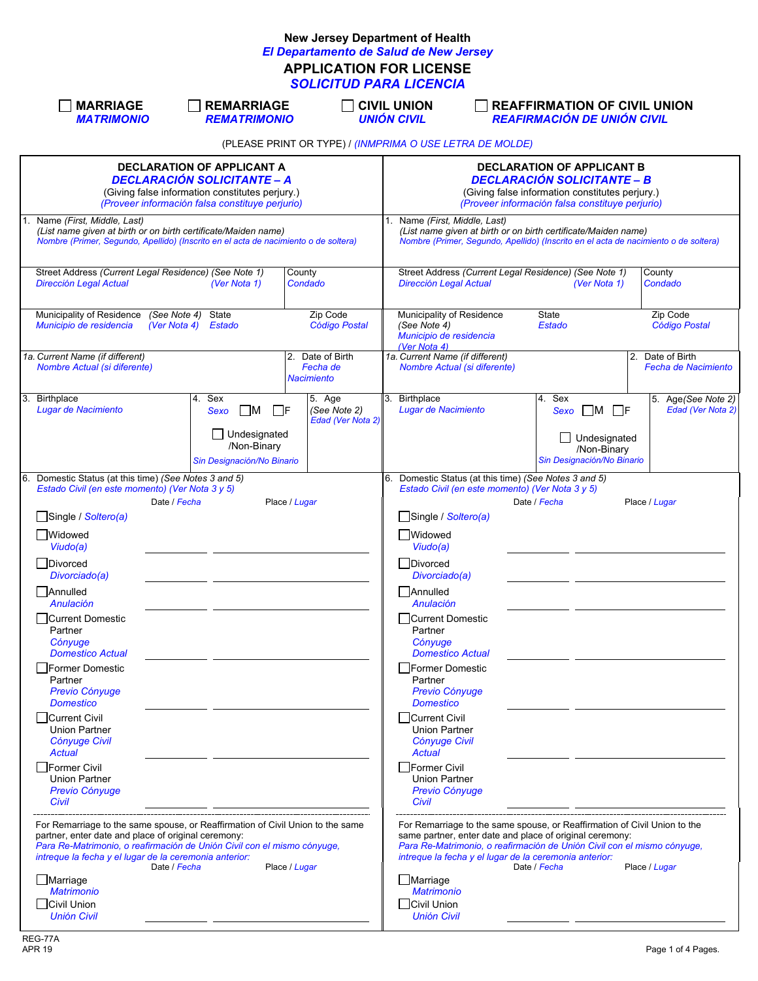## **New Jersey Department of Health** *El Departamento de Salud de New Jersey* **APPLICATION FOR LICENSE** *SOLICITUD PARA LICENCIA*

|                                                                                                                                                                               | <b>MARRIAGE</b><br><b>MATRIMONIO</b>                                                                                                                                                                                                                                                                                                                                                                                                                                                                      |                                                        | <b>REMARRIAGE</b><br><b>REMATRIMONIO</b>                                           |                                                          | <b>CIVIL UNION</b><br><b>UNIÓN CIVIL</b>                                                                                                                                                                                                                                                                                                                                                                     |                              | <b>REAFFIRMATION OF CIVIL UNION</b><br><b>REAFIRMACIÓN DE UNIÓN CIVIL</b>                                                                                                                                                                                                                  |              |                                                |
|-------------------------------------------------------------------------------------------------------------------------------------------------------------------------------|-----------------------------------------------------------------------------------------------------------------------------------------------------------------------------------------------------------------------------------------------------------------------------------------------------------------------------------------------------------------------------------------------------------------------------------------------------------------------------------------------------------|--------------------------------------------------------|------------------------------------------------------------------------------------|----------------------------------------------------------|--------------------------------------------------------------------------------------------------------------------------------------------------------------------------------------------------------------------------------------------------------------------------------------------------------------------------------------------------------------------------------------------------------------|------------------------------|--------------------------------------------------------------------------------------------------------------------------------------------------------------------------------------------------------------------------------------------------------------------------------------------|--------------|------------------------------------------------|
|                                                                                                                                                                               |                                                                                                                                                                                                                                                                                                                                                                                                                                                                                                           |                                                        |                                                                                    | (PLEASE PRINT OR TYPE) / (INMPRIMA O USE LETRA DE MOLDE) |                                                                                                                                                                                                                                                                                                                                                                                                              |                              |                                                                                                                                                                                                                                                                                            |              |                                                |
| <b>DECLARATION OF APPLICANT A</b><br><b>DECLARACIÓN SOLICITANTE - A</b><br>(Giving false information constitutes perjury.)<br>(Proveer información falsa constituye perjurio) |                                                                                                                                                                                                                                                                                                                                                                                                                                                                                                           |                                                        |                                                                                    |                                                          | <b>DECLARATION OF APPLICANT B</b><br><b>DECLARACIÓN SOLICITANTE – B</b><br>(Giving false information constitutes perjury.)<br>(Proveer información falsa constituye perjurio)                                                                                                                                                                                                                                |                              |                                                                                                                                                                                                                                                                                            |              |                                                |
|                                                                                                                                                                               | Name (First, Middle, Last)<br>(List name given at birth or on birth certificate/Maiden name)<br>Nombre (Primer, Segundo, Apellido) (Inscrito en el acta de nacimiento o de soltera)                                                                                                                                                                                                                                                                                                                       |                                                        |                                                                                    |                                                          | Name (First, Middle, Last)<br>1.                                                                                                                                                                                                                                                                                                                                                                             |                              | (List name given at birth or on birth certificate/Maiden name)<br>Nombre (Primer, Segundo, Apellido) (Inscrito en el acta de nacimiento o de soltera)                                                                                                                                      |              |                                                |
|                                                                                                                                                                               | Street Address (Current Legal Residence) (See Note 1)<br>Dirección Legal Actual                                                                                                                                                                                                                                                                                                                                                                                                                           |                                                        | County<br>(Ver Nota 1)                                                             | Condado                                                  | <b>Dirección Legal Actual</b>                                                                                                                                                                                                                                                                                                                                                                                |                              | Street Address (Current Legal Residence) (See Note 1)<br>(Ver Nota 1)                                                                                                                                                                                                                      |              | County<br>Condado                              |
|                                                                                                                                                                               | Municipality of Residence<br>Municipio de residencia                                                                                                                                                                                                                                                                                                                                                                                                                                                      | (See Note 4)<br>State<br>(Ver Nota 4)<br><b>Estado</b> |                                                                                    | Zip Code<br><b>Código Postal</b>                         | Municipality of Residence<br>(See Note 4)<br>Municipio de residencia<br>(Ver Nota 4)                                                                                                                                                                                                                                                                                                                         |                              | State<br>Estado                                                                                                                                                                                                                                                                            |              | Zip Code<br>Código Postal                      |
|                                                                                                                                                                               | 1a. Current Name (if different)<br>Nombre Actual (si diferente)                                                                                                                                                                                                                                                                                                                                                                                                                                           |                                                        |                                                                                    | 2. Date of Birth<br>Fecha de<br><b>Nacimiento</b>        | 1a. Current Name (if different)                                                                                                                                                                                                                                                                                                                                                                              | Nombre Actual (si diferente) |                                                                                                                                                                                                                                                                                            |              | 2. Date of Birth<br><b>Fecha de Nacimiento</b> |
| 3.                                                                                                                                                                            | <b>Birthplace</b><br>Lugar de Nacimiento                                                                                                                                                                                                                                                                                                                                                                                                                                                                  | Sex<br>4.<br>Sexo                                      | $\Box$ M<br>∐F<br>$\Box$ Undesignated<br>/Non-Binary<br>Sin Designación/No Binario | 5. Age<br>(See Note 2)<br>Edad (Ver Nota 2)              | Birthplace<br>3.<br>Lugar de Nacimiento                                                                                                                                                                                                                                                                                                                                                                      |                              | Sex<br>4.<br>$Sexo$ M F<br>/Non-Binary<br>Sin Designación/No Binario                                                                                                                                                                                                                       | Undesignated | 5. Age(See Note 2)<br>Edad (Ver Nota 2)        |
| 6.                                                                                                                                                                            | Domestic Status (at this time) (See Notes 3 and 5)<br>Estado Civil (en este momento) (Ver Nota 3 y 5)<br>Single / Soltero(a)<br>Widowed<br>Viudo(a)<br>  Divorced<br>Divorciado(a)<br>Annulled<br>Anulación<br>  Current Domestic<br>Partner<br>Cónyuge<br>Domestico Actual<br>  Former Domestic<br>Partner<br>Previo Cónyuge<br><b>Domestico</b><br>□Current Civil<br><b>Union Partner</b><br>Cónyuge Civil<br><b>Actual</b><br>l Former Civil<br><b>Union Partner</b><br><b>Previo Cónyuge</b><br>Civil | Date / Fecha                                           | Place / Lugar                                                                      |                                                          | Single / Soltero(a)<br>Widowed<br>Viudo(a)<br>Divorced<br>Divorciado(a)<br>Annulled<br>Anulación<br><b>Current Domestic</b><br>Partner<br>Cónyuge<br><b>Domestico Actual</b><br><b>Former Domestic</b><br>Partner<br>Previo Cónyuge<br><b>Domestico</b><br>Current Civil<br>Union Partner<br><b>Cónyuge Civil</b><br><b>Actual</b><br>Former Civil<br><b>Union Partner</b><br><b>Previo Cónyuge</b><br>Civil |                              | 6. Domestic Status (at this time) (See Notes 3 and 5)<br>Estado Civil (en este momento) (Ver Nota 3 y 5)<br>Date / Fecha                                                                                                                                                                   |              | Place / Lugar                                  |
|                                                                                                                                                                               | For Remarriage to the same spouse, or Reaffirmation of Civil Union to the same<br>partner, enter date and place of original ceremony:<br>Para Re-Matrimonio, o reafirmación de Unión Civil con el mismo cónyuge,<br>intreque la fecha y el lugar de la ceremonia anterior:<br>Marriage<br><b>Matrimonio</b><br>Civil Union<br><b>Unión Civil</b>                                                                                                                                                          | Date / Fecha                                           | Place / Lugar                                                                      |                                                          | Marriage<br><b>Matrimonio</b><br>Civil Union<br><b>Unión Civil</b>                                                                                                                                                                                                                                                                                                                                           |                              | For Remarriage to the same spouse, or Reaffirmation of Civil Union to the<br>same partner, enter date and place of original ceremony:<br>Para Re-Matrimonio, o reafirmación de Unión Civil con el mismo cónyuge,<br>intreque la fecha y el lugar de la ceremonia anterior:<br>Date / Fecha |              | Place / Lugar                                  |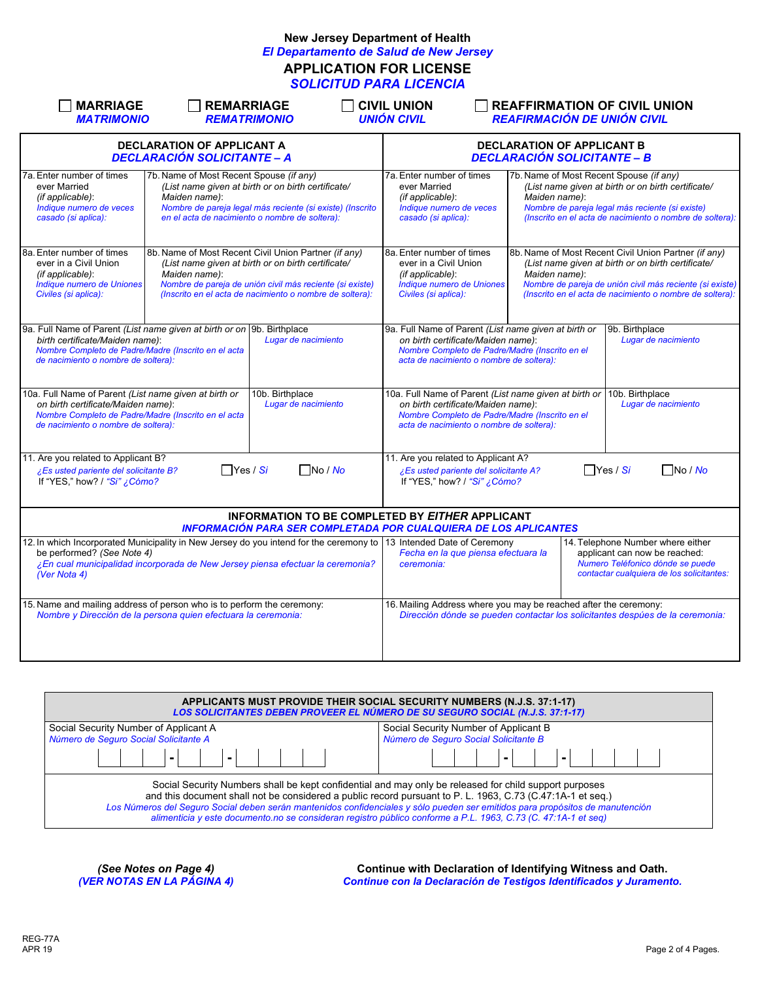## **New Jersey Department of Health** *El Departamento de Salud de New Jersey* **APPLICATION FOR LICENSE** *SOLICITUD PARA LICENCIA*

| <b>MARRIAGE</b><br><b>REMARRIAGE</b><br><b>MATRIMONIO</b>                                                                                                                                                                                           | <b>REMATRIMONIO</b>                                                                                                                                                                                                                | <b>CIVIL UNION</b><br><b>UNIÓN CIVIL</b>                                                                                                                                                                  | <b>REAFFIRMATION OF CIVIL UNION</b><br><b>REAFIRMACIÓN DE UNIÓN CIVIL</b> |                                                                                                                                                                                                                                    |
|-----------------------------------------------------------------------------------------------------------------------------------------------------------------------------------------------------------------------------------------------------|------------------------------------------------------------------------------------------------------------------------------------------------------------------------------------------------------------------------------------|-----------------------------------------------------------------------------------------------------------------------------------------------------------------------------------------------------------|---------------------------------------------------------------------------|------------------------------------------------------------------------------------------------------------------------------------------------------------------------------------------------------------------------------------|
| <b>DECLARATION OF APPLICANT A</b><br><b>DECLARACIÓN SOLICITANTE - A</b>                                                                                                                                                                             |                                                                                                                                                                                                                                    |                                                                                                                                                                                                           | <b>DECLARATION OF APPLICANT B</b><br><b>DECLARACIÓN SOLICITANTE - B</b>   |                                                                                                                                                                                                                                    |
| 7a. Enter number of times<br>7b. Name of Most Recent Spouse (if any)<br>ever Married<br>Maiden name):<br>(if applicable):<br>Indique numero de veces<br>casado (si aplica):                                                                         | (List name given at birth or on birth certificate/<br>Nombre de pareja legal más reciente (si existe) (Inscrito<br>en el acta de nacimiento o nombre de soltera):                                                                  | 7a. Enter number of times<br>ever Married<br>(if applicable):<br>Indique numero de veces<br>casado (si aplica):                                                                                           | 7b. Name of Most Recent Spouse (if any)<br>Maiden name):                  | (List name given at birth or on birth certificate/<br>Nombre de pareja legal más reciente (si existe)<br>(Inscrito en el acta de nacimiento o nombre de soltera):                                                                  |
| 8a. Enter number of times<br>ever in a Civil Union<br>(if applicable):<br>Maiden name):<br><b>Indique numero de Uniones</b><br>Civiles (si aplica):                                                                                                 | 8b. Name of Most Recent Civil Union Partner (if any)<br>(List name given at birth or on birth certificate/<br>Nombre de pareja de unión civil más reciente (si existe)<br>(Inscrito en el acta de nacimiento o nombre de soltera): | 8a. Enter number of times<br>ever in a Civil Union<br>(if applicable):<br><b>Indique numero de Uniones</b><br>Civiles (si aplica):                                                                        | Maiden name):                                                             | 8b. Name of Most Recent Civil Union Partner (if any)<br>(List name given at birth or on birth certificate/<br>Nombre de pareja de unión civil más reciente (si existe)<br>(Inscrito en el acta de nacimiento o nombre de soltera): |
| 9a. Full Name of Parent (List name given at birth or on 9b. Birthplace<br>birth certificate/Maiden name):<br>Nombre Completo de Padre/Madre (Inscrito en el acta<br>de nacimiento o nombre de soltera):                                             | Lugar de nacimiento                                                                                                                                                                                                                | 9a. Full Name of Parent (List name given at birth or<br>on birth certificate/Maiden name):<br>Nombre Completo de Padre/Madre (Inscrito en el<br>acta de nacimiento o nombre de soltera):                  |                                                                           | 9b. Birthplace<br>Lugar de nacimiento                                                                                                                                                                                              |
| 10a. Full Name of Parent (List name given at birth or<br>on birth certificate/Maiden name):<br>Nombre Completo de Padre/Madre (Inscrito en el acta<br>de nacimiento o nombre de soltera):                                                           | 10b. Birthplace<br>Lugar de nacimiento                                                                                                                                                                                             | 10a. Full Name of Parent (List name given at birth or 10b. Birthplace<br>on birth certificate/Maiden name):<br>Nombre Completo de Padre/Madre (Inscrito en el<br>acta de nacimiento o nombre de soltera): |                                                                           | Lugar de nacimiento                                                                                                                                                                                                                |
| 11. Are you related to Applicant B?<br>$\Box$ Yes / Si<br>¿Es usted pariente del solicitante B?<br>If "YES," how? / "Si" ¿Cómo?                                                                                                                     | $\Box$ No / No                                                                                                                                                                                                                     | 11. Are you related to Applicant A?<br>¿Es usted pariente del solicitante A?<br>If "YES," how? / "Si" ¿Cómo?                                                                                              |                                                                           | $\Box$ Yes / Si<br>$\Box$ No / No                                                                                                                                                                                                  |
|                                                                                                                                                                                                                                                     | <b>INFORMATION TO BE COMPLETED BY EITHER APPLICANT</b><br><b>INFORMACIÓN PARA SER COMPLETADA POR CUALQUIERA DE LOS APLICANTES</b>                                                                                                  |                                                                                                                                                                                                           |                                                                           |                                                                                                                                                                                                                                    |
| 12. In which Incorporated Municipality in New Jersey do you intend for the ceremony to 13 Intended Date of Ceremony<br>be performed? (See Note 4)<br>¿En cual municipalidad incorporada de New Jersey piensa efectuar la ceremonia?<br>(Ver Nota 4) | 14. Telephone Number where either<br>Fecha en la que piensa efectuara la<br>applicant can now be reached:<br>Numero Teléfonico dónde se puede<br>ceremonia:<br>contactar cualquiera de los solicitantes:                           |                                                                                                                                                                                                           |                                                                           |                                                                                                                                                                                                                                    |
| 15. Name and mailing address of person who is to perform the ceremony:<br>Nombre y Dirección de la persona quien efectuara la ceremonia:                                                                                                            |                                                                                                                                                                                                                                    | 16. Mailing Address where you may be reached after the ceremony:                                                                                                                                          |                                                                           | Dirección dónde se pueden contactar los solicitantes despúes de la ceremonia:                                                                                                                                                      |

|                                                                                                                                                                                                                                                                                                                                                                                                                                                                        | APPLICANTS MUST PROVIDE THEIR SOCIAL SECURITY NUMBERS (N.J.S. 37:1-17)<br><b>LOS SOLICITANTES DEBEN PROVEER EL NÚMERO DE SU SEGURO SOCIAL (N.J.S. 37:1-17)</b> |  |  |  |  |  |  |
|------------------------------------------------------------------------------------------------------------------------------------------------------------------------------------------------------------------------------------------------------------------------------------------------------------------------------------------------------------------------------------------------------------------------------------------------------------------------|----------------------------------------------------------------------------------------------------------------------------------------------------------------|--|--|--|--|--|--|
| Social Security Number of Applicant A                                                                                                                                                                                                                                                                                                                                                                                                                                  | Social Security Number of Applicant B                                                                                                                          |  |  |  |  |  |  |
| Número de Seguro Social Solicitante A                                                                                                                                                                                                                                                                                                                                                                                                                                  | Número de Seguro Social Solicitante B                                                                                                                          |  |  |  |  |  |  |
| -     -                                                                                                                                                                                                                                                                                                                                                                                                                                                                | 1-1 1 1-1 1 1                                                                                                                                                  |  |  |  |  |  |  |
| Social Security Numbers shall be kept confidential and may only be released for child support purposes<br>and this document shall not be considered a public record pursuant to P. L. 1963, C.73 (C.47:1A-1 et seq.)<br>Los Números del Seguro Social deben serán mantenidos confidenciales y sólo pueden ser emitidos para propósitos de manutención<br>alimenticia y este documento no se consideran registro público conforme a P.L. 1963, C.73 (C. 47:1A-1 et seg) |                                                                                                                                                                |  |  |  |  |  |  |

*(See Notes on Page 4)* **Continue with Declaration of Identifying Witness and Oath.** *(VER NOTAS EN LA PÁGINA 4) Continue con la Declaración de Testigos Identificados y Juramento.*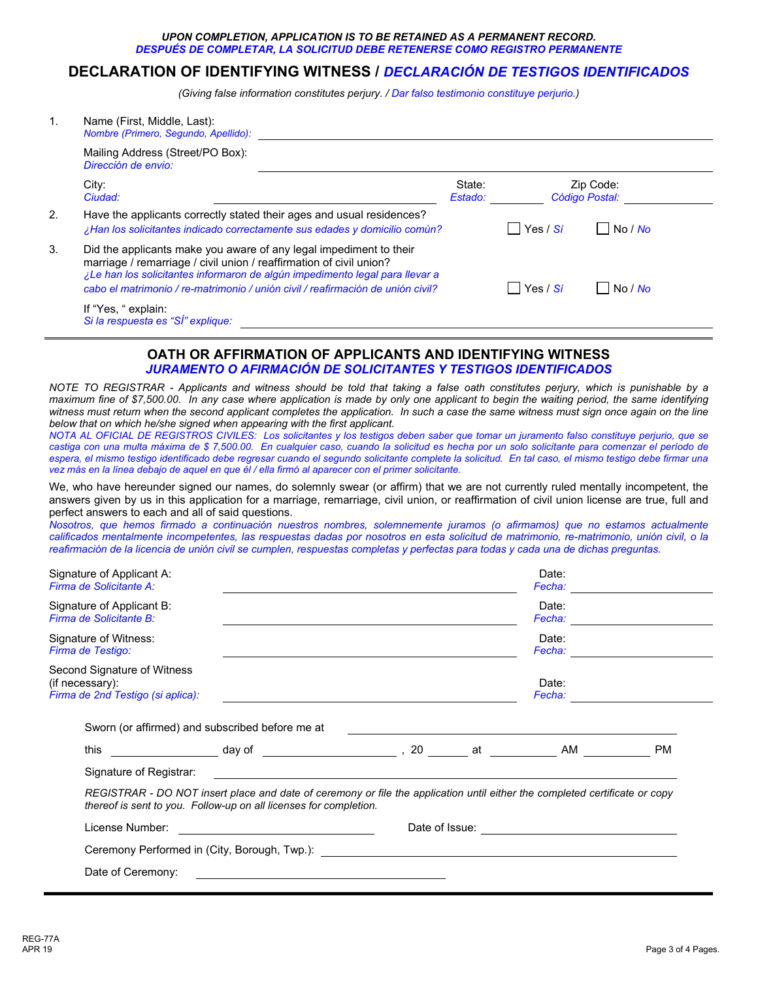## *UPON COMPLETION, APPLICATION IS TO BE RETAINED AS A PERMANENT RECORD. DESPUÉS DE COMPLETAR, LA SOLICITUD DEBE RETENERSE COMO REGISTRO PERMANENTE*

## **DECLARATION OF IDENTIFYING WITNESS /** *DECLARACIÓN DE TESTIGOS IDENTIFICADOS*

*(Giving false information constitutes perjury. / Dar falso testimonio constituye perjurio.)*

| $\mathbf{1}$ . | Name (First, Middle, Last):<br>Nombre (Primero, Segundo, Apellido):                                                                                                                                                                                                                                                                                                                                                                                                                                                                                                                                                                                                                                                                                                                                                                                                                                                                                                                                                                                                      |                   |                            |                             |
|----------------|--------------------------------------------------------------------------------------------------------------------------------------------------------------------------------------------------------------------------------------------------------------------------------------------------------------------------------------------------------------------------------------------------------------------------------------------------------------------------------------------------------------------------------------------------------------------------------------------------------------------------------------------------------------------------------------------------------------------------------------------------------------------------------------------------------------------------------------------------------------------------------------------------------------------------------------------------------------------------------------------------------------------------------------------------------------------------|-------------------|----------------------------|-----------------------------|
|                | Mailing Address (Street/PO Box):<br>Dirección de envio:                                                                                                                                                                                                                                                                                                                                                                                                                                                                                                                                                                                                                                                                                                                                                                                                                                                                                                                                                                                                                  |                   |                            |                             |
|                | City:<br>Ciudad:                                                                                                                                                                                                                                                                                                                                                                                                                                                                                                                                                                                                                                                                                                                                                                                                                                                                                                                                                                                                                                                         | State:<br>Estado: |                            | Zip Code:<br>Código Postal: |
| 2.             | Have the applicants correctly stated their ages and usual residences?<br>¿Han los solicitantes indicado correctamente sus edades y domicilio común?                                                                                                                                                                                                                                                                                                                                                                                                                                                                                                                                                                                                                                                                                                                                                                                                                                                                                                                      |                   | Yes / Sí<br>$\Box$         | No / No                     |
| 3.             | Did the applicants make you aware of any legal impediment to their<br>marriage / remarriage / civil union / reaffirmation of civil union?<br>¿Le han los solicitantes informaron de algún impedimento legal para llevar a<br>cabo el matrimonio / re-matrimonio / unión civil / reafirmación de unión civil?                                                                                                                                                                                                                                                                                                                                                                                                                                                                                                                                                                                                                                                                                                                                                             |                   | Yes / Sí<br>$\blacksquare$ | No / No                     |
|                | If "Yes, " explain:<br>Si la respuesta es "SÍ" explique:                                                                                                                                                                                                                                                                                                                                                                                                                                                                                                                                                                                                                                                                                                                                                                                                                                                                                                                                                                                                                 |                   |                            |                             |
|                | <b>OATH OR AFFIRMATION OF APPLICANTS AND IDENTIFYING WITNESS</b><br><u>JURAMENTO O AFIRMACIÓN DE SOLICITANTES Y TESTIGOS IDENTIFICADOS</u>                                                                                                                                                                                                                                                                                                                                                                                                                                                                                                                                                                                                                                                                                                                                                                                                                                                                                                                               |                   |                            |                             |
|                | NOTE TO REGISTRAR - Applicants and witness should be told that taking a false oath constitutes perjury, which is punishable by a<br>maximum fine of \$7,500.00. In any case where application is made by only one applicant to begin the waiting period, the same identifying<br>witness must return when the second applicant completes the application. In such a case the same witness must sign once again on the line<br>below that on which he/she signed when appearing with the first applicant.<br>NOTA AL OFICIAL DE REGISTROS CIVILES: Los solicitantes y los testigos deben saber que tomar un juramento falso constituye perjurio, que se<br>castiga con una multa máxima de \$7,500.00. En cualquier caso, cuando la solicitud es hecha por un solo solicitante para comenzar el período de<br>espera, el mismo testigo identificado debe regresar cuando el segundo solicitante complete la solicitud. En tal caso, el mismo testigo debe firmar una<br>vez más en la línea debajo de aquel en que él / ella firmó al aparecer con el primer solicitante. |                   |                            |                             |
|                | We, who have hereunder signed our names, do solemnly swear (or affirm) that we are not currently ruled mentally incompetent, the<br>answers given by us in this application for a marriage, remarriage, civil union, or reaffirmation of civil union license are true, full and<br>perfect answers to each and all of said questions.<br>Nosotros, que hemos firmado a continuación nuestros nombres, solemnemente juramos (o afirmamos) que no estamos actualmente<br>calificados mentalmente incompetentes, las respuestas dadas por nosotros en esta solicitud de matrimonio, re-matrimonio, unión civil, o la<br>reafirmación de la licencia de unión civil se cumplen, respuestas completas y perfectas para todas y cada una de dichas preguntas.                                                                                                                                                                                                                                                                                                                  |                   |                            |                             |
|                | Signature of Applicant A:<br>Firma de Solicitante A:                                                                                                                                                                                                                                                                                                                                                                                                                                                                                                                                                                                                                                                                                                                                                                                                                                                                                                                                                                                                                     |                   | Date:<br>Fecha:            |                             |

| Signature of Applicant B:<br>Firma de Solicitante B:                                |                                                                                                                                                                                                  |                                                          |                 | Date:<br>Fecha: <b>Francisco</b>                |           |
|-------------------------------------------------------------------------------------|--------------------------------------------------------------------------------------------------------------------------------------------------------------------------------------------------|----------------------------------------------------------|-----------------|-------------------------------------------------|-----------|
| Signature of Witness:<br>Firma de Testigo:                                          |                                                                                                                                                                                                  |                                                          |                 | Date:<br>Fecha:                                 |           |
| Second Signature of Witness<br>(if necessary):<br>Firma de 2nd Testigo (si aplica): |                                                                                                                                                                                                  |                                                          | Date:<br>Fecha: |                                                 |           |
|                                                                                     | Sworn (or affirmed) and subscribed before me at                                                                                                                                                  |                                                          |                 |                                                 |           |
| this                                                                                | ____________________day of ________________________,20 _________ at _____________ AM ________                                                                                                    |                                                          |                 |                                                 | <b>PM</b> |
|                                                                                     |                                                                                                                                                                                                  |                                                          |                 |                                                 |           |
| Signature of Registrar:                                                             |                                                                                                                                                                                                  | <u> 1990 - John Stone, amerikansk politiker (* 1900)</u> |                 |                                                 |           |
|                                                                                     | REGISTRAR - DO NOT insert place and date of ceremony or file the application until either the completed certificate or copy<br>thereof is sent to you. Follow-up on all licenses for completion. |                                                          |                 |                                                 |           |
| License Number:                                                                     |                                                                                                                                                                                                  |                                                          |                 | Date of Issue: <u>_________________________</u> |           |
|                                                                                     |                                                                                                                                                                                                  |                                                          |                 |                                                 |           |